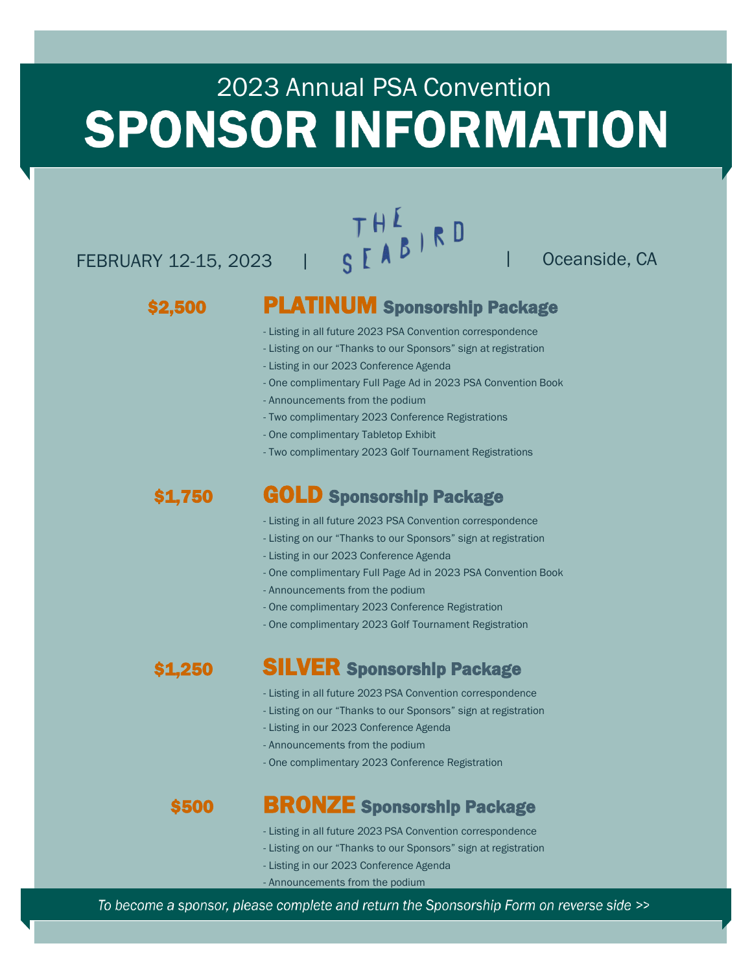### 2023 Annual PSA Convention **SPONSOR INFORMATION**

## $TH^L$ <br>FEBRUARY 12-15, 2023 |  $S^L$   $\begin{bmatrix} A & B & R & D \\ R & 0 & 0 & 0 \\ 0 & 0 & 0 & 0 \\ 0 & 0 & 0 & 0 \\ 0 & 0 & 0 & 0 \\ 0 & 0 & 0 & 0 \\ 0 & 0 & 0 & 0 \\ 0 & 0 & 0 & 0 \\ 0 & 0 & 0 & 0 \\ 0 & 0 & 0 & 0 \\ 0 & 0 & 0 & 0 \\ 0 & 0 & 0 & 0 \\ 0 & 0 & 0 & 0 \\ 0 & 0 & 0 & 0 \\ 0 & 0 & 0 & 0 \\ 0 &$

#### \$2,500

#### PLATINUM Sponsorship Package

- Listing in all future 2023 PSA Convention correspondence
- Listing on our "Thanks to our Sponsors" sign at registration
- Listing in our 2023 Conference Agenda
- One complimentary Full Page Ad in 2023 PSA Convention Book
- Announcements from the podium
- Two complimentary 2023 Conference Registrations
- One complimentary Tabletop Exhibit
- Two complimentary 2023 Golf Tournament Registrations

#### \$1,750

#### GOLD Sponsorship Package

- Listing in all future 2023 PSA Convention correspondence
- Listing on our "Thanks to our Sponsors" sign at registration
- Listing in our 2023 Conference Agenda
- One complimentary Full Page Ad in 2023 PSA Convention Book
- Announcements from the podium
- One complimentary 2023 Conference Registration
- One complimentary 2023 Golf Tournament Registration

#### \$1,250 SILVER Sponsorship Package

- Listing in all future 2023 PSA Convention correspondence
- Listing on our "Thanks to our Sponsors" sign at registration
- Listing in our 2023 Conference Agenda
- Announcements from the podium
- One complimentary 2023 Conference Registration

#### \$500 BRONZE Sponsorship Package

- Listing in all future 2023 PSA Convention correspondence
- Listing on our "Thanks to our Sponsors" sign at registration
- Listing in our 2023 Conference Agenda
- Announcements from the podium

To become a sponsor, please complete and return the Sponsorship Form on reverse side >>